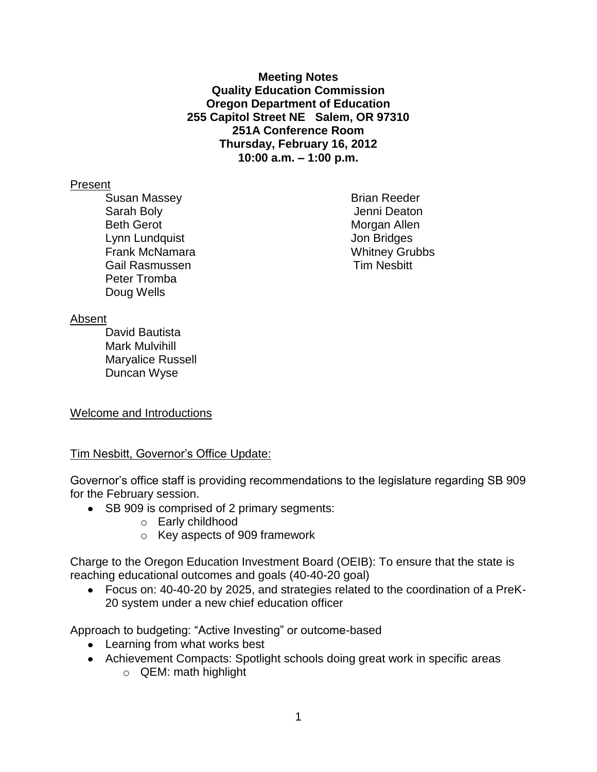**Meeting Notes Quality Education Commission Oregon Department of Education 255 Capitol Street NE Salem, OR 97310 251A Conference Room Thursday, February 16, 2012 10:00 a.m. – 1:00 p.m.**

### Present

Susan Massey **Brian Reeder** Brian Reeder Sarah Boly **Sarah Boly Jenni Deaton** Beth Gerot **Morgan Allen** Lynn Lundquist **I** and the U<sub>nit</sub> Connection of the Unit Connection of the Unit Connection of the Unit Connection of the Unit Connection of the Unit Connection of the Unit Connection of the Unit Connection of the Unit Conn Frank McNamara Whitney Grubbs Gail Rasmussen **Tim Nesbitt** Peter Tromba Doug Wells

### Absent

David Bautista Mark Mulvihill Maryalice Russell Duncan Wyse

# Welcome and Introductions

# Tim Nesbitt, Governor's Office Update:

Governor's office staff is providing recommendations to the legislature regarding SB 909 for the February session.

- SB 909 is comprised of 2 primary segments:
	- o Early childhood
	- o Key aspects of 909 framework

Charge to the Oregon Education Investment Board (OEIB): To ensure that the state is reaching educational outcomes and goals (40-40-20 goal)

Focus on: 40-40-20 by 2025, and strategies related to the coordination of a PreK-20 system under a new chief education officer

Approach to budgeting: "Active Investing" or outcome-based

- Learning from what works best
- Achievement Compacts: Spotlight schools doing great work in specific areas
	- o QEM: math highlight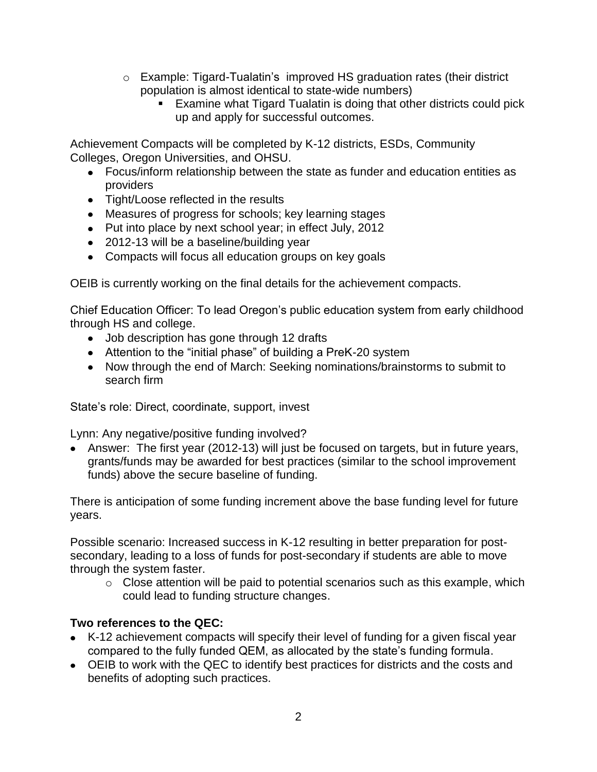- o Example: Tigard-Tualatin's improved HS graduation rates (their district population is almost identical to state-wide numbers)
	- **Examine what Tigard Tualatin is doing that other districts could pick** up and apply for successful outcomes.

Achievement Compacts will be completed by K-12 districts, ESDs, Community Colleges, Oregon Universities, and OHSU.

- Focus/inform relationship between the state as funder and education entities as providers
- Tight/Loose reflected in the results
- Measures of progress for schools; key learning stages
- Put into place by next school year; in effect July, 2012
- 2012-13 will be a baseline/building year
- Compacts will focus all education groups on key goals

OEIB is currently working on the final details for the achievement compacts.

Chief Education Officer: To lead Oregon's public education system from early childhood through HS and college.

- Job description has gone through 12 drafts
- Attention to the "initial phase" of building a PreK-20 system
- Now through the end of March: Seeking nominations/brainstorms to submit to search firm

State's role: Direct, coordinate, support, invest

Lynn: Any negative/positive funding involved?

Answer: The first year (2012-13) will just be focused on targets, but in future years, grants/funds may be awarded for best practices (similar to the school improvement funds) above the secure baseline of funding.

There is anticipation of some funding increment above the base funding level for future years.

Possible scenario: Increased success in K-12 resulting in better preparation for postsecondary, leading to a loss of funds for post-secondary if students are able to move through the system faster.

 $\circ$  Close attention will be paid to potential scenarios such as this example, which could lead to funding structure changes.

# **Two references to the QEC:**

- K-12 achievement compacts will specify their level of funding for a given fiscal year compared to the fully funded QEM, as allocated by the state's funding formula.
- OEIB to work with the QEC to identify best practices for districts and the costs and benefits of adopting such practices.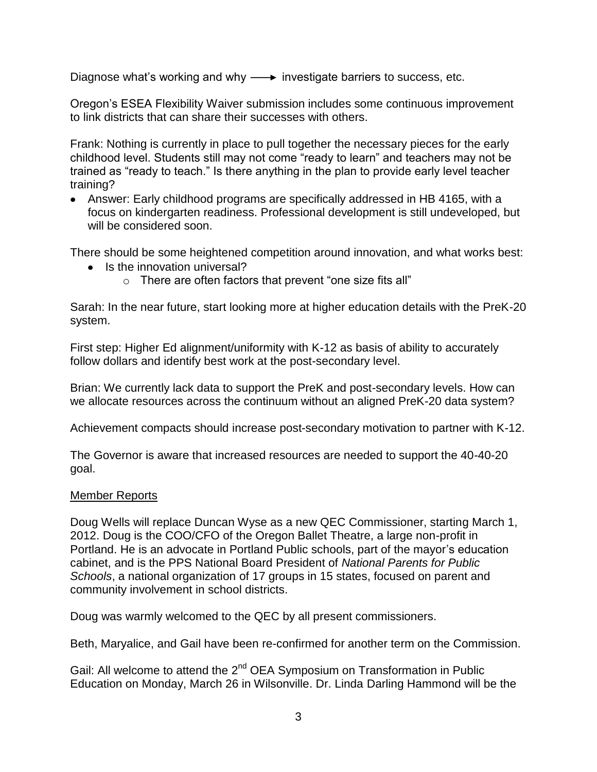Diagnose what's working and why  $\longrightarrow$  investigate barriers to success, etc.

Oregon's ESEA Flexibility Waiver submission includes some continuous improvement to link districts that can share their successes with others.

Frank: Nothing is currently in place to pull together the necessary pieces for the early childhood level. Students still may not come "ready to learn" and teachers may not be trained as "ready to teach." Is there anything in the plan to provide early level teacher training?

Answer: Early childhood programs are specifically addressed in HB 4165, with a focus on kindergarten readiness. Professional development is still undeveloped, but will be considered soon.

There should be some heightened competition around innovation, and what works best:

- Is the innovation universal?
	- o There are often factors that prevent "one size fits all"

Sarah: In the near future, start looking more at higher education details with the PreK-20 system.

First step: Higher Ed alignment/uniformity with K-12 as basis of ability to accurately follow dollars and identify best work at the post-secondary level.

Brian: We currently lack data to support the PreK and post-secondary levels. How can we allocate resources across the continuum without an aligned PreK-20 data system?

Achievement compacts should increase post-secondary motivation to partner with K-12.

The Governor is aware that increased resources are needed to support the 40-40-20 goal.

# Member Reports

Doug Wells will replace Duncan Wyse as a new QEC Commissioner, starting March 1, 2012. Doug is the COO/CFO of the Oregon Ballet Theatre, a large non-profit in Portland. He is an advocate in Portland Public schools, part of the mayor's education cabinet, and is the PPS National Board President of *National Parents for Public Schools*, a national organization of 17 groups in 15 states, focused on parent and community involvement in school districts.

Doug was warmly welcomed to the QEC by all present commissioners.

Beth, Maryalice, and Gail have been re-confirmed for another term on the Commission.

Gail: All welcome to attend the 2<sup>nd</sup> OEA Symposium on Transformation in Public Education on Monday, March 26 in Wilsonville. Dr. Linda Darling Hammond will be the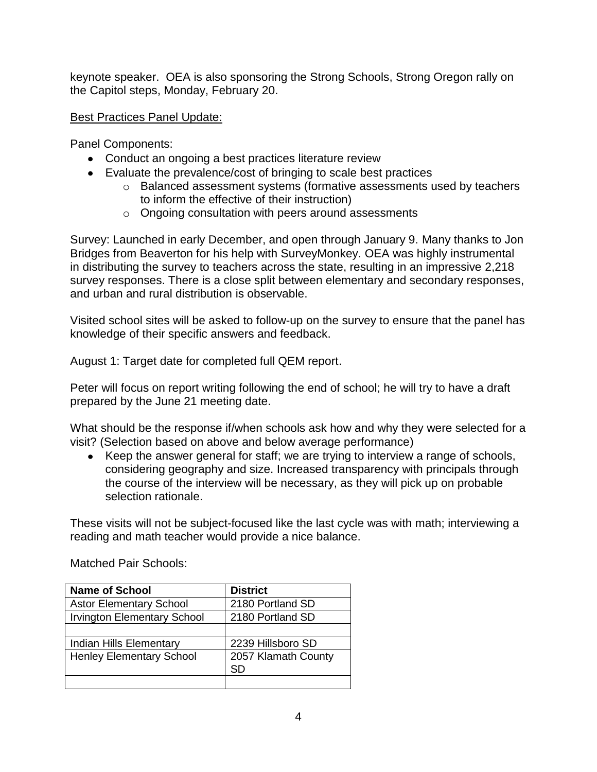keynote speaker. OEA is also sponsoring the Strong Schools, Strong Oregon rally on the Capitol steps, Monday, February 20.

# Best Practices Panel Update:

Panel Components:

- Conduct an ongoing a best practices literature review
- Evaluate the prevalence/cost of bringing to scale best practices
	- o Balanced assessment systems (formative assessments used by teachers to inform the effective of their instruction)
	- o Ongoing consultation with peers around assessments

Survey: Launched in early December, and open through January 9. Many thanks to Jon Bridges from Beaverton for his help with SurveyMonkey. OEA was highly instrumental in distributing the survey to teachers across the state, resulting in an impressive 2,218 survey responses. There is a close split between elementary and secondary responses, and urban and rural distribution is observable.

Visited school sites will be asked to follow-up on the survey to ensure that the panel has knowledge of their specific answers and feedback.

August 1: Target date for completed full QEM report.

Peter will focus on report writing following the end of school; he will try to have a draft prepared by the June 21 meeting date.

What should be the response if/when schools ask how and why they were selected for a visit? (Selection based on above and below average performance)

Keep the answer general for staff; we are trying to interview a range of schools, considering geography and size. Increased transparency with principals through the course of the interview will be necessary, as they will pick up on probable selection rationale.

These visits will not be subject-focused like the last cycle was with math; interviewing a reading and math teacher would provide a nice balance.

| <b>Name of School</b>              | <b>District</b>     |
|------------------------------------|---------------------|
| <b>Astor Elementary School</b>     | 2180 Portland SD    |
| <b>Irvington Elementary School</b> | 2180 Portland SD    |
|                                    |                     |
| <b>Indian Hills Elementary</b>     | 2239 Hillsboro SD   |
| <b>Henley Elementary School</b>    | 2057 Klamath County |
|                                    | SD                  |
|                                    |                     |

Matched Pair Schools: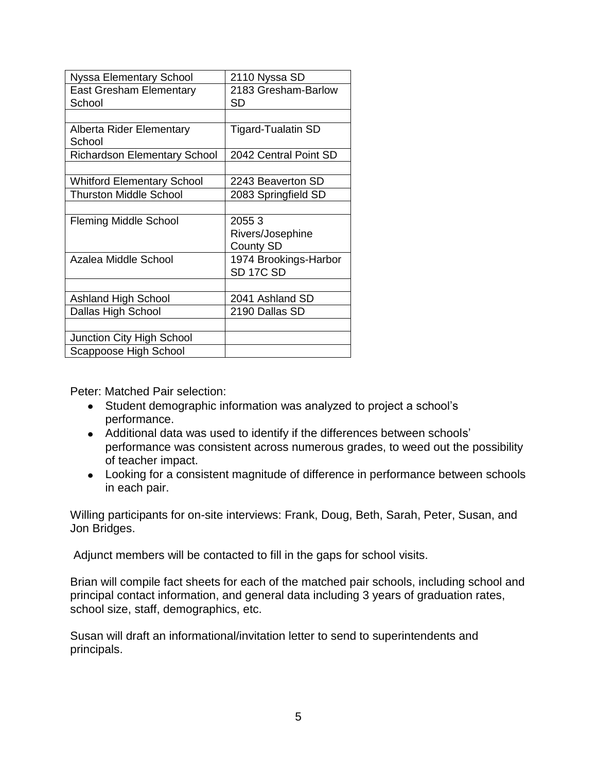| <b>Nyssa Elementary School</b>      | 2110 Nyssa SD             |
|-------------------------------------|---------------------------|
| <b>East Gresham Elementary</b>      | 2183 Gresham-Barlow       |
| School                              | SD                        |
|                                     |                           |
| Alberta Rider Elementary            | <b>Tigard-Tualatin SD</b> |
| School                              |                           |
| <b>Richardson Elementary School</b> | 2042 Central Point SD     |
|                                     |                           |
| <b>Whitford Elementary School</b>   | 2243 Beaverton SD         |
| <b>Thurston Middle School</b>       | 2083 Springfield SD       |
|                                     |                           |
| <b>Fleming Middle School</b>        | 20553                     |
|                                     | Rivers/Josephine          |
|                                     | <b>County SD</b>          |
| Azalea Middle School                | 1974 Brookings-Harbor     |
|                                     | SD <sub>17C</sub> SD      |
|                                     |                           |
| <b>Ashland High School</b>          | 2041 Ashland SD           |
| Dallas High School                  | 2190 Dallas SD            |
|                                     |                           |
| Junction City High School           |                           |
| Scappoose High School               |                           |

Peter: Matched Pair selection:

- Student demographic information was analyzed to project a school's performance.
- Additional data was used to identify if the differences between schools' performance was consistent across numerous grades, to weed out the possibility of teacher impact.
- Looking for a consistent magnitude of difference in performance between schools in each pair.

Willing participants for on-site interviews: Frank, Doug, Beth, Sarah, Peter, Susan, and Jon Bridges.

Adjunct members will be contacted to fill in the gaps for school visits.

Brian will compile fact sheets for each of the matched pair schools, including school and principal contact information, and general data including 3 years of graduation rates, school size, staff, demographics, etc.

Susan will draft an informational/invitation letter to send to superintendents and principals.